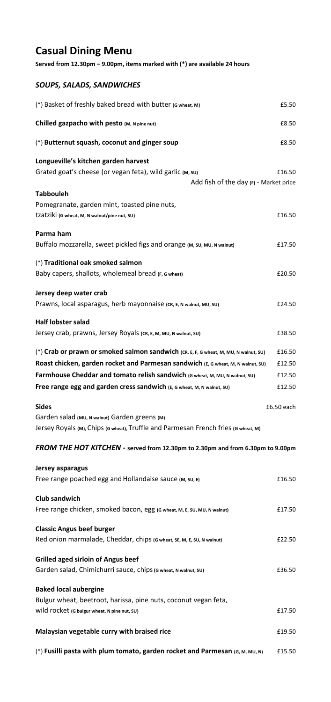## **Casual Dining Menu**

**Served from 12.30pm – 9.00pm, items marked with (\*) are available 24 hours**

## *SOUPS, SALADS, SANDWICHES*

| (*) Basket of freshly baked bread with butter (G wheat, M)                                                                                      | £5.50      |
|-------------------------------------------------------------------------------------------------------------------------------------------------|------------|
| Chilled gazpacho with pesto (M, N pine nut)                                                                                                     | £8.50      |
| (*) Butternut squash, coconut and ginger soup                                                                                                   | £8.50      |
| Longueville's kitchen garden harvest<br>Grated goat's cheese (or vegan feta), wild garlic (M, su)<br>Add fish of the day (F) - Market price     | £16.50     |
| Tabbouleh                                                                                                                                       |            |
| Pomegranate, garden mint, toasted pine nuts,<br>tzatziki (G wheat, M, N walnut/pine nut, S∪)                                                    | £16.50     |
| Parma ham<br>Buffalo mozzarella, sweet pickled figs and orange (M, SU, MU, N walnut)                                                            | £17.50     |
| (*) Traditional oak smoked salmon<br>Baby capers, shallots, wholemeal bread (F, G wheat)                                                        | £20.50     |
| Jersey deep water crab<br>Prawns, local asparagus, herb mayonnaise (CR, E, N walnut, MU, SU)                                                    | £24.50     |
| Half lobster salad<br>Jersey crab, prawns, Jersey Royals (cR, E, M, MU, N walnut, SU)                                                           | £38.50     |
| (*) Crab or prawn or smoked salmon sandwich (CR, E, F, G wheat, M, MU, N walnut, SU)                                                            | £16.50     |
| Roast chicken, garden rocket and Parmesan sandwich (E, G wheat, M, N walnut, SU)                                                                | £12.50     |
| Farmhouse Cheddar and tomato relish sandwich (G wheat, M, MU, N walnut, SU)                                                                     | £12.50     |
| Free range egg and garden cress sandwich (E, G wheat, M, N walnut, SU)                                                                          | £12.50     |
| Sides                                                                                                                                           | £6.50 each |
| Garden salad (MU, N walnut) Garden greens (M)<br>Jersey Royals (M), Chips (G wheat), Truffle and Parmesan French fries (G wheat, M)             |            |
| FROM THE HOT KITCHEN - served from 12.30pm to 2.30pm and from 6.30pm to 9.00pm                                                                  |            |
| Jersey asparagus<br>Free range poached egg and Hollandaise sauce (M, su, E)                                                                     | £16.50     |
| <b>Club sandwich</b><br>Free range chicken, smoked bacon, egg (G wheat, M, E, SU, MU, N walnut)                                                 | £17.50     |
| <b>Classic Angus beef burger</b><br>Red onion marmalade, Cheddar, chips (G wheat, SE, M, E, SU, N walnut)                                       | £22.50     |
| <b>Grilled aged sirloin of Angus beef</b><br>Garden salad, Chimichurri sauce, chips (G wheat, N walnut, SU)                                     | £36.50     |
| <b>Baked local aubergine</b><br>Bulgur wheat, beetroot, harissa, pine nuts, coconut vegan feta,<br>Wild rocket (G bulgur wheat, N pine nut, SU) | £17.50     |
| Malaysian vegetable curry with braised rice                                                                                                     | £19.50     |

(\*) **Fusilli pasta with plum tomato, garden rocket and Parmesan (G, M, MU, N)** £15.50